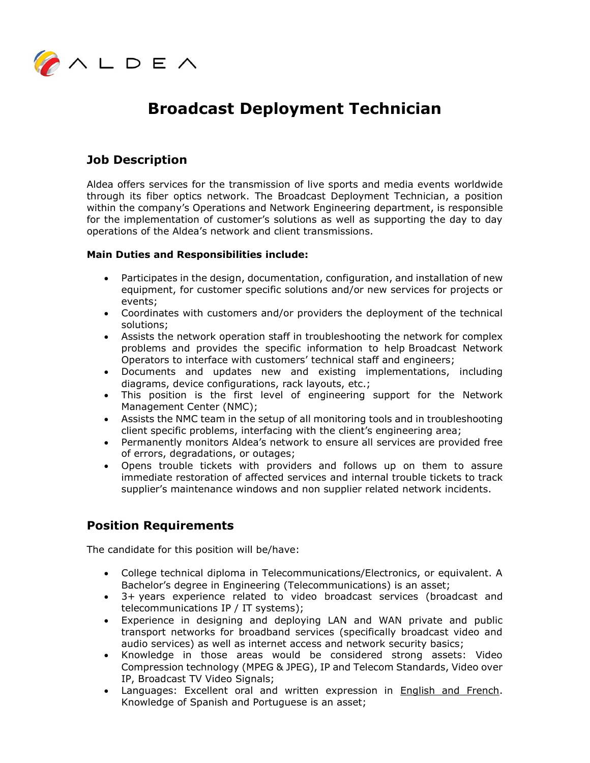

## **Broadcast Deployment Technician**

## **Job Description**

Aldea offers services for the transmission of live sports and media events worldwide through its fiber optics network. The Broadcast Deployment Technician, a position within the company's Operations and Network Engineering department, is responsible for the implementation of customer's solutions as well as supporting the day to day operations of the Aldea's network and client transmissions.

## **Main Duties and Responsibilities include:**

- Participates in the design, documentation, configuration, and installation of new equipment, for customer specific solutions and/or new services for projects or events;
- Coordinates with customers and/or providers the deployment of the technical solutions;
- Assists the network operation staff in troubleshooting the network for complex problems and provides the specific information to help Broadcast Network Operators to interface with customers' technical staff and engineers;
- Documents and updates new and existing implementations, including diagrams, device configurations, rack layouts, etc.;
- This position is the first level of engineering support for the Network Management Center (NMC);
- Assists the NMC team in the setup of all monitoring tools and in troubleshooting client specific problems, interfacing with the client's engineering area;
- Permanently monitors Aldea's network to ensure all services are provided free of errors, degradations, or outages;
- Opens trouble tickets with providers and follows up on them to assure immediate restoration of affected services and internal trouble tickets to track supplier's maintenance windows and non supplier related network incidents.

## **Position Requirements**

The candidate for this position will be/have:

- College technical diploma in Telecommunications/Electronics, or equivalent. A Bachelor's degree in Engineering (Telecommunications) is an asset;
- 3+ years experience related to video broadcast services (broadcast and telecommunications IP / IT systems);
- Experience in designing and deploying LAN and WAN private and public transport networks for broadband services (specifically broadcast video and audio services) as well as internet access and network security basics;
- Knowledge in those areas would be considered strong assets: Video Compression technology (MPEG & JPEG), IP and Telecom Standards, Video over IP, Broadcast TV Video Signals;
- Languages: Excellent oral and written expression in English and French. Knowledge of Spanish and Portuguese is an asset;